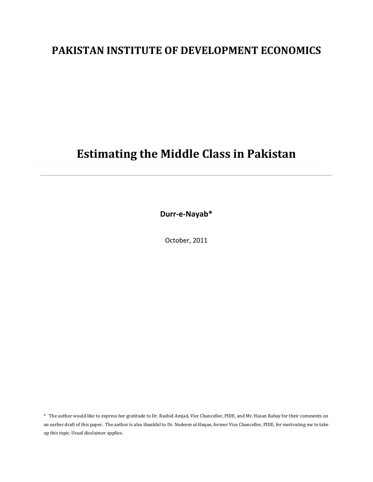# **PAKISTAN INSTITUTE OF DEVELOPMENT ECONOMICS**

# **Estimating the Middle Class in Pakistan**

**Durr‐e‐Nayab\***

October, 2011

\* The author would like to express her gratitude to Dr. Rashid Amjad, Vice Chancellor, PIDE, and Mr. Hasan Rabay for their comments on an earlier draft of this paper. The author is also thankful to Dr. Nadeem ul Haque, former Vice Chancellor, PIDE, for motivating me to take up this topic. Usual disclaimer applies.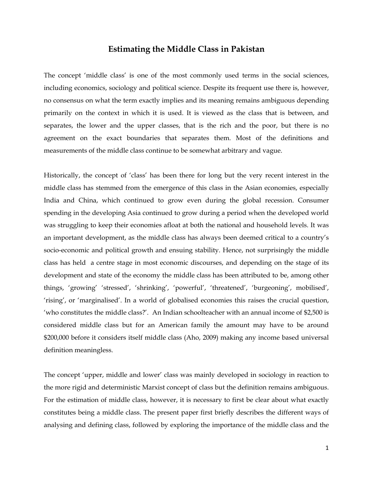## **Estimating the Middle Class in Pakistan**

The concept 'middle class' is one of the most commonly used terms in the social sciences, including economics, sociology and political science. Despite its frequent use there is, however, no consensus on what the term exactly implies and its meaning remains ambiguous depending primarily on the context in which it is used. It is viewed as the class that is between, and separates, the lower and the upper classes, that is the rich and the poor, but there is no agreement on the exact boundaries that separates them. Most of the definitions and measurements of the middle class continue to be somewhat arbitrary and vague.

Historically, the concept of 'class' has been there for long but the very recent interest in the middle class has stemmed from the emergence of this class in the Asian economies, especially India and China, which continued to grow even during the global recession. Consumer spending in the developing Asia continued to grow during a period when the developed world was struggling to keep their economies afloat at both the national and household levels. It was an important development, as the middle class has always been deemed critical to a country's socio-economic and political growth and ensuing stability. Hence, not surprisingly the middle class has held a centre stage in most economic discourses, and depending on the stage of its development and state of the economy the middle class has been attributed to be, among other things, 'growing' 'stressed', 'shrinking', 'powerful', 'threatened', 'burgeoning', mobilised', 'rising', or 'marginalised'. In a world of globalised economies this raises the crucial question, 'who constitutes the middle class?'. An Indian schoolteacher with an annual income of \$2,500 is considered middle class but for an American family the amount may have to be around \$200,000 before it considers itself middle class (Aho, 2009) making any income based universal definition meaningless.

The concept 'upper, middle and lower' class was mainly developed in sociology in reaction to the more rigid and deterministic Marxist concept of class but the definition remains ambiguous. For the estimation of middle class, however, it is necessary to first be clear about what exactly constitutes being a middle class. The present paper first briefly describes the different ways of analysing and defining class, followed by exploring the importance of the middle class and the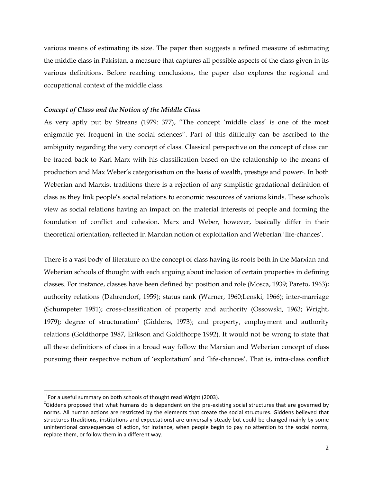various means of estimating its size. The paper then suggests a refined measure of estimating the middle class in Pakistan, a measure that captures all possible aspects of the class given in its various definitions. Before reaching conclusions, the paper also explores the regional and occupational context of the middle class.

#### *Concept of Class and the Notion of the Middle Class*

As very aptly put by Streans (1979: 377), "The concept 'middle class' is one of the most enigmatic yet frequent in the social sciences". Part of this difficulty can be ascribed to the ambiguity regarding the very concept of class. Classical perspective on the concept of class can be traced back to Karl Marx with his classification based on the relationship to the means of production and Max Weber's categorisation on the basis of wealth, prestige and power1. In both Weberian and Marxist traditions there is a rejection of any simplistic gradational definition of class as they link people's social relations to economic resources of various kinds. These schools view as social relations having an impact on the material interests of people and forming the foundation of conflict and cohesion. Marx and Weber, however, basically differ in their theoretical orientation, reflected in Marxian notion of exploitation and Weberian 'life-chances'.

There is a vast body of literature on the concept of class having its roots both in the Marxian and Weberian schools of thought with each arguing about inclusion of certain properties in defining classes. For instance, classes have been defined by: position and role (Mosca, 1939; Pareto, 1963); authority relations (Dahrendorf, 1959); status rank (Warner, 1960;Lenski, 1966); inter-marriage (Schumpeter 1951); cross-classification of property and authority (Ossowski, 1963; Wright, 1979); degree of structuration<sup>2</sup> (Giddens, 1973); and property, employment and authority relations (Goldthorpe 1987, Erikson and Goldthorpe 1992). It would not be wrong to state that all these definitions of class in a broad way follow the Marxian and Weberian concept of class pursuing their respective notion of 'exploitation' and 'life-chances'. That is, intra-class conflict

 $11$ For a useful summary on both schools of thought read Wright (2003).

 $2$ Giddens proposed that what humans do is dependent on the pre-existing social structures that are governed by norms. All human actions are restricted by the elements that create the social structures. Giddens believed that structures (traditions, institutions and expectations) are universally steady but could be changed mainly by some unintentional consequences of action, for instance, when people begin to pay no attention to the social norms, replace them, or follow them in a different way.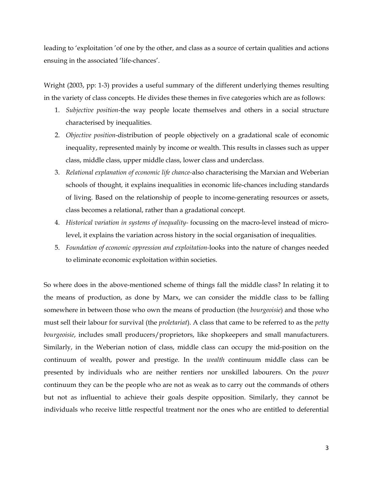leading to 'exploitation 'of one by the other, and class as a source of certain qualities and actions ensuing in the associated 'life-chances'.

Wright (2003, pp: 1-3) provides a useful summary of the different underlying themes resulting in the variety of class concepts. He divides these themes in five categories which are as follows:

- 1. *Subjective position*-the way people locate themselves and others in a social structure characterised by inequalities.
- 2. *Objective position*-distribution of people objectively on a gradational scale of economic inequality, represented mainly by income or wealth. This results in classes such as upper class, middle class, upper middle class, lower class and underclass.
- 3. *Relational explanation of economic life chance-*also characterising the Marxian and Weberian schools of thought, it explains inequalities in economic life-chances including standards of living. Based on the relationship of people to income-generating resources or assets, class becomes a relational, rather than a gradational concept.
- 4. *Historical variation in systems of inequality-* focussing on the macro-level instead of microlevel, it explains the variation across history in the social organisation of inequalities.
- 5. *Foundation of economic oppression and exploitation-*looks into the nature of changes needed to eliminate economic exploitation within societies.

So where does in the above-mentioned scheme of things fall the middle class? In relating it to the means of production, as done by Marx, we can consider the middle class to be falling somewhere in between those who own the means of production (the *bourgeoisie*) and those who must sell their labour for survival (the *proletariat*). A class that came to be referred to as the *petty bourgeoisie*, includes small producers/proprietors, like shopkeepers and small manufacturers. Similarly, in the Weberian notion of class, middle class can occupy the mid-position on the continuum of wealth, power and prestige. In the *wealth* continuum middle class can be presented by individuals who are neither rentiers nor unskilled labourers. On the *power*  continuum they can be the people who are not as weak as to carry out the commands of others but not as influential to achieve their goals despite opposition. Similarly, they cannot be individuals who receive little respectful treatment nor the ones who are entitled to deferential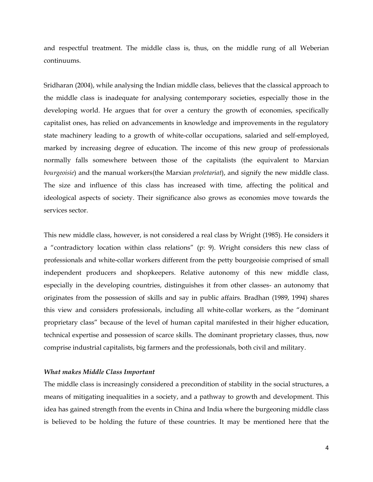and respectful treatment. The middle class is, thus, on the middle rung of all Weberian continuums.

Sridharan (2004), while analysing the Indian middle class, believes that the classical approach to the middle class is inadequate for analysing contemporary societies, especially those in the developing world. He argues that for over a century the growth of economies, specifically capitalist ones, has relied on advancements in knowledge and improvements in the regulatory state machinery leading to a growth of white-collar occupations, salaried and self-employed, marked by increasing degree of education. The income of this new group of professionals normally falls somewhere between those of the capitalists (the equivalent to Marxian *bourgeoisie*) and the manual workers(the Marxian *proletariat*), and signify the new middle class. The size and influence of this class has increased with time, affecting the political and ideological aspects of society. Their significance also grows as economies move towards the services sector.

This new middle class, however, is not considered a real class by Wright (1985). He considers it a "contradictory location within class relations" (p: 9). Wright considers this new class of professionals and white-collar workers different from the petty bourgeoisie comprised of small independent producers and shopkeepers. Relative autonomy of this new middle class, especially in the developing countries, distinguishes it from other classes- an autonomy that originates from the possession of skills and say in public affairs. Bradhan (1989, 1994) shares this view and considers professionals, including all white-collar workers, as the "dominant proprietary class" because of the level of human capital manifested in their higher education, technical expertise and possession of scarce skills. The dominant proprietary classes, thus, now comprise industrial capitalists, big farmers and the professionals, both civil and military.

#### *What makes Middle Class Important*

The middle class is increasingly considered a precondition of stability in the social structures, a means of mitigating inequalities in a society, and a pathway to growth and development. This idea has gained strength from the events in China and India where the burgeoning middle class is believed to be holding the future of these countries. It may be mentioned here that the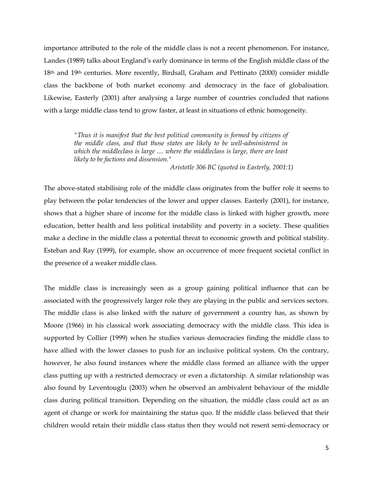importance attributed to the role of the middle class is not a recent phenomenon. For instance, Landes (1989) talks about England's early dominance in terms of the English middle class of the  $18<sup>th</sup>$  and  $19<sup>th</sup>$  centuries. More recently, Birdsall, Graham and Pettinato (2000) consider middle class the backbone of both market economy and democracy in the face of globalisation. Likewise, Easterly (2001) after analysing a large number of countries concluded that nations with a large middle class tend to grow faster, at least in situations of ethnic homogeneity.

> *"Thus it is manifest that the best political community is formed by citizens of the middle class, and that those states are likely to be well-administered in which the middleclass is large .... where the middleclass is large, there are least likely to be factions and dissension."*

> > *Aristotle 306 BC (quoted in Easterly, 2001:1)*

The above-stated stabilising role of the middle class originates from the buffer role it seems to play between the polar tendencies of the lower and upper classes. Easterly (2001), for instance, shows that a higher share of income for the middle class is linked with higher growth, more education, better health and less political instability and poverty in a society. These qualities make a decline in the middle class a potential threat to economic growth and political stability. Esteban and Ray (1999), for example, show an occurrence of more frequent societal conflict in the presence of a weaker middle class.

The middle class is increasingly seen as a group gaining political influence that can be associated with the progressively larger role they are playing in the public and services sectors. The middle class is also linked with the nature of government a country has, as shown by Moore (1966) in his classical work associating democracy with the middle class. This idea is supported by Collier (1999) when he studies various democracies finding the middle class to have allied with the lower classes to push for an inclusive political system. On the contrary, however, he also found instances where the middle class formed an alliance with the upper class putting up with a restricted democracy or even a dictatorship. A similar relationship was also found by Leventouglu (2003) when he observed an ambivalent behaviour of the middle class during political transition. Depending on the situation, the middle class could act as an agent of change or work for maintaining the status quo. If the middle class believed that their children would retain their middle class status then they would not resent semi-democracy or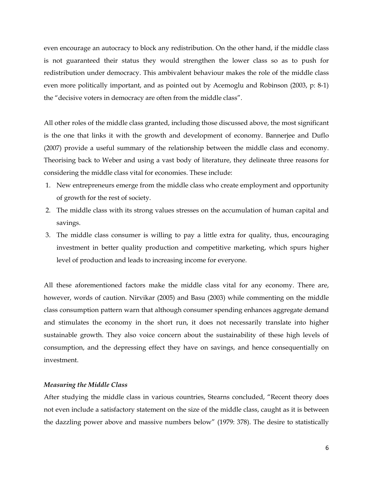even encourage an autocracy to block any redistribution. On the other hand, if the middle class is not guaranteed their status they would strengthen the lower class so as to push for redistribution under democracy. This ambivalent behaviour makes the role of the middle class even more politically important, and as pointed out by Acemoglu and Robinson (2003, p: 8-1) the "decisive voters in democracy are often from the middle class".

All other roles of the middle class granted, including those discussed above, the most significant is the one that links it with the growth and development of economy. Bannerjee and Duflo (2007) provide a useful summary of the relationship between the middle class and economy. Theorising back to Weber and using a vast body of literature, they delineate three reasons for considering the middle class vital for economies. These include:

- 1. New entrepreneurs emerge from the middle class who create employment and opportunity of growth for the rest of society.
- 2. The middle class with its strong values stresses on the accumulation of human capital and savings.
- 3. The middle class consumer is willing to pay a little extra for quality, thus, encouraging investment in better quality production and competitive marketing, which spurs higher level of production and leads to increasing income for everyone.

All these aforementioned factors make the middle class vital for any economy. There are, however, words of caution. Nirvikar (2005) and Basu (2003) while commenting on the middle class consumption pattern warn that although consumer spending enhances aggregate demand and stimulates the economy in the short run, it does not necessarily translate into higher sustainable growth. They also voice concern about the sustainability of these high levels of consumption, and the depressing effect they have on savings, and hence consequentially on investment.

#### *Measuring the Middle Class*

After studying the middle class in various countries, Stearns concluded, "Recent theory does not even include a satisfactory statement on the size of the middle class, caught as it is between the dazzling power above and massive numbers below" (1979: 378). The desire to statistically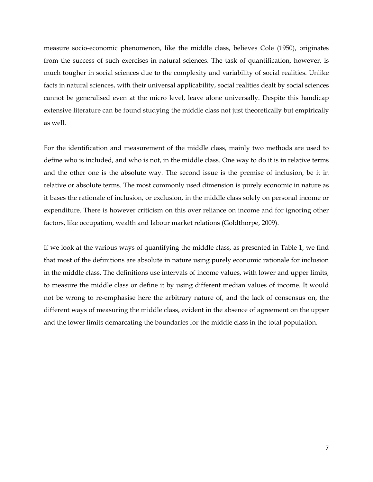measure socio-economic phenomenon, like the middle class, believes Cole (1950), originates from the success of such exercises in natural sciences. The task of quantification, however, is much tougher in social sciences due to the complexity and variability of social realities. Unlike facts in natural sciences, with their universal applicability, social realities dealt by social sciences cannot be generalised even at the micro level, leave alone universally. Despite this handicap extensive literature can be found studying the middle class not just theoretically but empirically as well.

For the identification and measurement of the middle class, mainly two methods are used to define who is included, and who is not, in the middle class. One way to do it is in relative terms and the other one is the absolute way. The second issue is the premise of inclusion, be it in relative or absolute terms. The most commonly used dimension is purely economic in nature as it bases the rationale of inclusion, or exclusion, in the middle class solely on personal income or expenditure. There is however criticism on this over reliance on income and for ignoring other factors, like occupation, wealth and labour market relations (Goldthorpe, 2009).

If we look at the various ways of quantifying the middle class, as presented in Table 1, we find that most of the definitions are absolute in nature using purely economic rationale for inclusion in the middle class. The definitions use intervals of income values, with lower and upper limits, to measure the middle class or define it by using different median values of income. It would not be wrong to re-emphasise here the arbitrary nature of, and the lack of consensus on, the different ways of measuring the middle class, evident in the absence of agreement on the upper and the lower limits demarcating the boundaries for the middle class in the total population.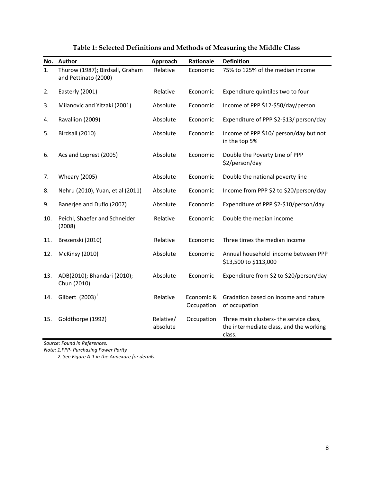| No. | Author                                                  | Approach              | Rationale                | <b>Definition</b>                                                                            |
|-----|---------------------------------------------------------|-----------------------|--------------------------|----------------------------------------------------------------------------------------------|
| 1.  | Thurow (1987); Birdsall, Graham<br>and Pettinato (2000) | Relative              | Economic                 | 75% to 125% of the median income                                                             |
| 2.  | Easterly (2001)                                         | Relative              | Economic                 | Expenditure quintiles two to four                                                            |
| 3.  | Milanovic and Yitzaki (2001)                            | Absolute              | Economic                 | Income of PPP \$12-\$50/day/person                                                           |
| 4.  | Ravallion (2009)                                        | Absolute              | Economic                 | Expenditure of PPP \$2-\$13/ person/day                                                      |
| 5.  | Birdsall (2010)                                         | Absolute              | Economic                 | Income of PPP \$10/ person/day but not<br>in the top 5%                                      |
| 6.  | Acs and Loprest (2005)                                  | Absolute              | Economic                 | Double the Poverty Line of PPP<br>\$2/person/day                                             |
| 7.  | <b>Wheary (2005)</b>                                    | Absolute              | Economic                 | Double the national poverty line                                                             |
| 8.  | Nehru (2010), Yuan, et al (2011)                        | Absolute              | Economic                 | Income from PPP \$2 to \$20/person/day                                                       |
| 9.  | Banerjee and Duflo (2007)                               | Absolute              | Economic                 | Expenditure of PPP \$2-\$10/person/day                                                       |
| 10. | Peichl, Shaefer and Schneider<br>(2008)                 | Relative              | Economic                 | Double the median income                                                                     |
| 11. | Brezenski (2010)                                        | Relative              | Economic                 | Three times the median income                                                                |
| 12. | <b>McKinsy (2010)</b>                                   | Absolute              | Economic                 | Annual household income between PPP<br>\$13,500 to \$113,000                                 |
| 13. | ADB(2010); Bhandari (2010);<br>Chun (2010)              | Absolute              | Economic                 | Expenditure from \$2 to \$20/person/day                                                      |
| 14. | Gilbert $(2003)^1$                                      | Relative              | Economic &<br>Occupation | Gradation based on income and nature<br>of occupation                                        |
| 15. | Goldthorpe (1992)                                       | Relative/<br>absolute | Occupation               | Three main clusters- the service class,<br>the intermediate class, and the working<br>class. |

**Table 1: Selected Definitions and Methods of Measuring the Middle Class** 

*Source: Found in References.*

*Note: 1.PPP‐ Purchasing Power Parity*

 *2. See Figure A‐1 in the Annexure for details.*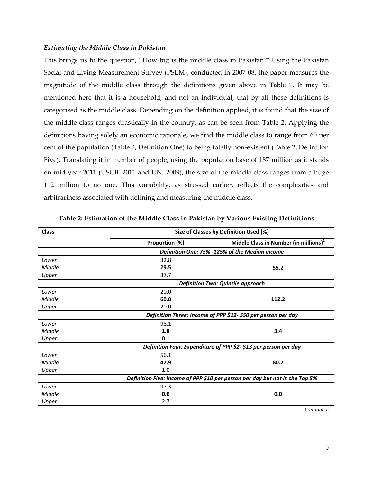#### *Estimating the Middle Class in Pakistan*

This brings us to the question, "How big is the middle class in Pakistan?".Using the Pakistan Social and Living Measurement Survey (PSLM), conducted in 2007-08, the paper measures the magnitude of the middle class through the definitions given above in Table 1. It may be mentioned here that it is a household, and not an individual, that by all these definitions is categorised as the middle class. Depending on the definition applied, it is found that the size of the middle class ranges drastically in the country, as can be seen from Table 2. Applying the definitions having solely an economic rationale, we find the middle class to range from 60 per cent of the population (Table 2, Definition One) to being totally non-existent (Table 2, Definition Five). Translating it in number of people, using the population base of 187 million as it stands on mid-year 2011 (USCB, 2011 and UN, 2009), the size of the middle class ranges from a huge 112 million to no one. This variability, as stressed earlier, reflects the complexities and arbitrariness associated with defining and measuring the middle class.

| Size of Classes by Definition Used (%)<br><b>Class</b> |                                                               |                                                                              |  |  |  |  |  |
|--------------------------------------------------------|---------------------------------------------------------------|------------------------------------------------------------------------------|--|--|--|--|--|
|                                                        | Proportion (%)                                                | Middle Class in Number (in millions) <sup>1</sup>                            |  |  |  |  |  |
|                                                        |                                                               | Definition One: 75% -125% of the Median income                               |  |  |  |  |  |
| Lower                                                  | 32.8                                                          |                                                                              |  |  |  |  |  |
| Middle                                                 | 29.5                                                          | 55.2                                                                         |  |  |  |  |  |
| Upper                                                  | 37.7                                                          |                                                                              |  |  |  |  |  |
|                                                        |                                                               | <b>Definition Two: Quintile approach</b>                                     |  |  |  |  |  |
| Lower                                                  | 20.0                                                          |                                                                              |  |  |  |  |  |
| Middle                                                 | 60.0                                                          | 112.2                                                                        |  |  |  |  |  |
| Upper                                                  | 20.0                                                          |                                                                              |  |  |  |  |  |
|                                                        | Definition Three: Income of PPP \$12- \$50 per person per day |                                                                              |  |  |  |  |  |
| Lower                                                  | 98.1                                                          |                                                                              |  |  |  |  |  |
| Middle                                                 | 1.8                                                           | 3.4                                                                          |  |  |  |  |  |
| Upper                                                  | 0.1                                                           |                                                                              |  |  |  |  |  |
|                                                        |                                                               | Definition Four: Expenditure of PPP \$2-\$13 per person per day              |  |  |  |  |  |
| Lower                                                  | 56.1                                                          |                                                                              |  |  |  |  |  |
| Middle                                                 | 42.9                                                          | 80.2                                                                         |  |  |  |  |  |
| Upper                                                  | 1.0                                                           |                                                                              |  |  |  |  |  |
|                                                        |                                                               | Definition Five: Income of PPP \$10 per person per day but not in the Top 5% |  |  |  |  |  |
| Lower                                                  | 97.3                                                          |                                                                              |  |  |  |  |  |
| Middle                                                 | 0.0                                                           | 0.0                                                                          |  |  |  |  |  |
| Upper                                                  | 2.7                                                           |                                                                              |  |  |  |  |  |

**Table 2: Estimation of the Middle Class in Pakistan by Various Existing Definitions** 

*Continued:*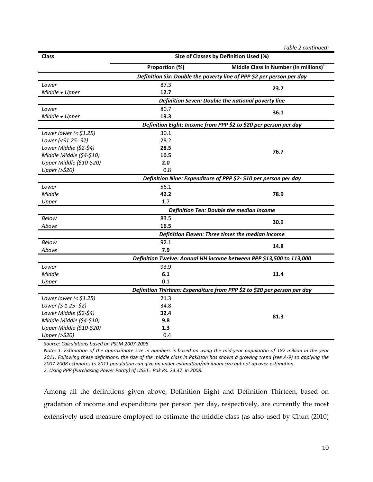|                           | Table 2 continued: |                                                                          |  |  |  |  |
|---------------------------|--------------------|--------------------------------------------------------------------------|--|--|--|--|
| <b>Class</b>              |                    | Size of Classes by Definition Used (%)                                   |  |  |  |  |
|                           | Proportion (%)     | Middle Class in Number (in millions) <sup>1</sup>                        |  |  |  |  |
|                           |                    | Definition Six: Double the poverty line of PPP \$2 per person per day    |  |  |  |  |
| Lower                     | 87.3               | 23.7                                                                     |  |  |  |  |
| Middle + Upper            | 12.7               |                                                                          |  |  |  |  |
|                           |                    | Definition Seven: Double the national poverty line                       |  |  |  |  |
| Lower                     | 80.7               | 36.1                                                                     |  |  |  |  |
| Middle + Upper            | 19.3               |                                                                          |  |  |  |  |
|                           |                    | Definition Eight: Income from PPP \$2 to \$20 per person per day         |  |  |  |  |
| Lower lower ( $<$ \$1.25) | 30.1               |                                                                          |  |  |  |  |
| Lower (<\$1.25-\$2)       | 28.2               |                                                                          |  |  |  |  |
| Lower Middle (\$2-\$4)    | 28.5               | 76.7                                                                     |  |  |  |  |
| Middle Middle (\$4-\$10)  | 10.5               |                                                                          |  |  |  |  |
| Upper Middle (\$10-\$20)  | 2.0                |                                                                          |  |  |  |  |
| Upper (>\$20)             | 0.8                |                                                                          |  |  |  |  |
|                           |                    | Definition Nine: Expenditure of PPP \$2- \$10 per person per day         |  |  |  |  |
| Lower                     | 56.1               |                                                                          |  |  |  |  |
| Middle                    | 42.2               | 78.9                                                                     |  |  |  |  |
| Upper                     | 1.7                |                                                                          |  |  |  |  |
|                           |                    | <b>Definition Ten: Double the median income</b>                          |  |  |  |  |
| Below                     | 83.5               | 30.9                                                                     |  |  |  |  |
| Above                     | 16.5               |                                                                          |  |  |  |  |
|                           |                    | Definition Eleven: Three times the median income                         |  |  |  |  |
| Below                     | 92.1               | 14.8                                                                     |  |  |  |  |
| Above                     | 7.9                |                                                                          |  |  |  |  |
|                           |                    | Definition Twelve: Annual HH income between PPP \$13,500 to 113,000      |  |  |  |  |
| Lower                     | 93.9               |                                                                          |  |  |  |  |
| Middle                    | 6.1                | 11.4                                                                     |  |  |  |  |
| Upper                     | 0.1                |                                                                          |  |  |  |  |
|                           |                    | Definition Thirteen: Expenditure from PPP \$2 to \$20 per person per day |  |  |  |  |
| Lower lower ( $<$ \$1.25) | 21.3               |                                                                          |  |  |  |  |
| Lower (\$ 1.25- \$2)      | 34.8               |                                                                          |  |  |  |  |
| Lower Middle (\$2-\$4)    | 32.4               | 81.3                                                                     |  |  |  |  |
| Middle Middle (\$4-\$10)  | 9.8                |                                                                          |  |  |  |  |
| Upper Middle (\$10-\$20)  | 1.3                |                                                                          |  |  |  |  |
| Upper (>\$20)             | 0.4                |                                                                          |  |  |  |  |

*Source: Calculations based on PSLM 2007‐2008*

Note: 1. Estimation of the approximate size in numbers is based on using the mid-year population of 187 million in the year 2011. Following these definitions, the size of the middle class in Pakistan has shown a growing trend (see A-9) so applying the 2007-2008 estimates to 2011 population can give an under-estimation/minimum size but not an over-estimation. *2. Using PPP (Purchasing Power Parity) of US\$1= Pak Rs. 24.47 in 2008.* 

Among all the definitions given above, Definition Eight and Definition Thirteen, based on gradation of income and expenditure per person per day, respectively, are currently the most extensively used measure employed to estimate the middle class (as also used by Chun (2010)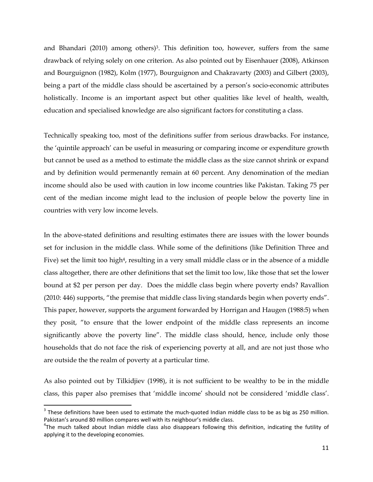and Bhandari  $(2010)$  among others)<sup>3</sup>. This definition too, however, suffers from the same drawback of relying solely on one criterion. As also pointed out by Eisenhauer (2008), Atkinson and Bourguignon (1982), Kolm (1977), Bourguignon and Chakravarty (2003) and Gilbert (2003), being a part of the middle class should be ascertained by a person's socio-economic attributes holistically. Income is an important aspect but other qualities like level of health, wealth, education and specialised knowledge are also significant factors for constituting a class.

Technically speaking too, most of the definitions suffer from serious drawbacks. For instance, the 'quintile approach' can be useful in measuring or comparing income or expenditure growth but cannot be used as a method to estimate the middle class as the size cannot shrink or expand and by definition would permenantly remain at 60 percent. Any denomination of the median income should also be used with caution in low income countries like Pakistan. Taking 75 per cent of the median income might lead to the inclusion of people below the poverty line in countries with very low income levels.

In the above-stated definitions and resulting estimates there are issues with the lower bounds set for inclusion in the middle class. While some of the definitions (like Definition Three and Five) set the limit too high<sup>4</sup>, resulting in a very small middle class or in the absence of a middle class altogether, there are other definitions that set the limit too low, like those that set the lower bound at \$2 per person per day. Does the middle class begin where poverty ends? Ravallion (2010: 446) supports, "the premise that middle class living standards begin when poverty ends". This paper, however, supports the argument forwarded by Horrigan and Haugen (1988:5) when they posit, "to ensure that the lower endpoint of the middle class represents an income significantly above the poverty line". The middle class should, hence, include only those households that do not face the risk of experiencing poverty at all, and are not just those who are outside the the realm of poverty at a particular time.

As also pointed out by Tilkidjiev (1998), it is not sufficient to be wealthy to be in the middle class, this paper also premises that 'middle income' should not be considered 'middle class'.

 $3$  These definitions have been used to estimate the much-quoted Indian middle class to be as big as 250 million. Pakistan's around 80 million compares well with its neighbour's middle class.

 $T$ he much talked about Indian middle class also disappears following this definition, indicating the futility of applying it to the developing economies.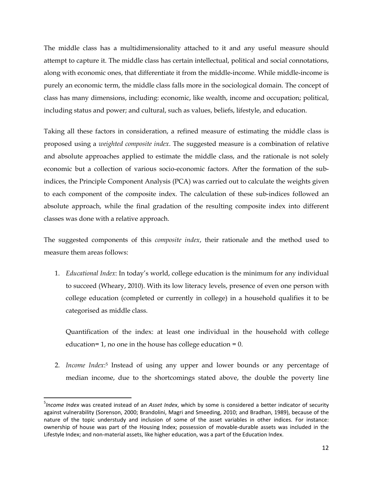The middle class has a multidimensionality attached to it and any useful measure should attempt to capture it. The middle class has certain intellectual, political and social connotations, along with economic ones, that differentiate it from the middle-income. While middle-income is purely an economic term, the middle class falls more in the sociological domain. The concept of class has many dimensions, including: economic, like wealth, income and occupation; political, including status and power; and cultural, such as values, beliefs, lifestyle, and education.

Taking all these factors in consideration, a refined measure of estimating the middle class is proposed using a *weighted composite index*. The suggested measure is a combination of relative and absolute approaches applied to estimate the middle class, and the rationale is not solely economic but a collection of various socio-economic factors. After the formation of the subindices, the Principle Component Analysis (PCA) was carried out to calculate the weights given to each component of the composite index. The calculation of these sub-indices followed an absolute approach, while the final gradation of the resulting composite index into different classes was done with a relative approach.

The suggested components of this *composite index*, their rationale and the method used to measure them areas follows:

1. *Educational Index*: In today's world, college education is the minimum for any individual to succeed (Wheary, 2010). With its low literacy levels, presence of even one person with college education (completed or currently in college) in a household qualifies it to be categorised as middle class.

Quantification of the index: at least one individual in the household with college education= 1, no one in the house has college education =  $0$ .

2. *Income Index*:5 Instead of using any upper and lower bounds or any percentage of median income, due to the shortcomings stated above, the double the poverty line

<sup>5</sup> *Income Index* was created instead of an *Asset Index*, which by some is considered a better indicator of security against vulnerability (Sorenson, 2000; Brandolini, Magri and Smeeding, 2010; and Bradhan, 1989), because of the nature of the topic understudy and inclusion of some of the asset variables in other indices. For instance: ownership of house was part of the Housing Index; possession of movable‐durable assets was included in the Lifestyle Index; and non‐material assets, like higher education, was a part of the Education Index.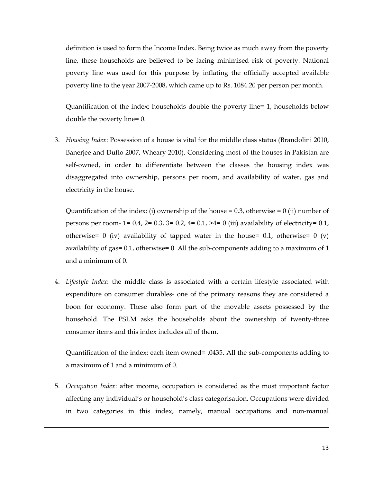definition is used to form the Income Index. Being twice as much away from the poverty line, these households are believed to be facing minimised risk of poverty. National poverty line was used for this purpose by inflating the officially accepted available poverty line to the year 2007-2008, which came up to Rs. 1084.20 per person per month.

Quantification of the index: households double the poverty line= 1, households below double the poverty line= 0.

3. *Housing Index*: Possession of a house is vital for the middle class status (Brandolini 2010, Banerjee and Duflo 2007, Wheary 2010). Considering most of the houses in Pakistan are self-owned, in order to differentiate between the classes the housing index was disaggregated into ownership, persons per room, and availability of water, gas and electricity in the house.

Quantification of the index: (i) ownership of the house = 0.3, otherwise = 0 (ii) number of persons per room- 1= 0.4, 2= 0.3, 3= 0.2, 4= 0.1, >4= 0 (iii) availability of electricity= 0.1, otherwise= 0 (iv) availability of tapped water in the house= 0.1, otherwise= 0 (v) availability of gas= 0.1, otherwise= 0. All the sub-components adding to a maximum of 1 and a minimum of 0.

4. *Lifestyle Index*: the middle class is associated with a certain lifestyle associated with expenditure on consumer durables- one of the primary reasons they are considered a boon for economy. These also form part of the movable assets possessed by the household. The PSLM asks the households about the ownership of twenty-three consumer items and this index includes all of them.

Quantification of the index: each item owned= .0435. All the sub-components adding to a maximum of 1 and a minimum of 0.

5. *Occupation Index*: after income, occupation is considered as the most important factor affecting any individual's or household's class categorisation. Occupations were divided in two categories in this index, namely, manual occupations and non-manual

<u> Andrewski politika (za obrazu pod predsjednika u predsjednika u predsjednika u predsjednika (za obrazu pod p</u>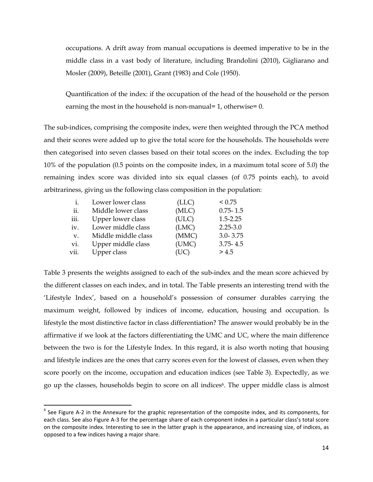occupations. A drift away from manual occupations is deemed imperative to be in the middle class in a vast body of literature, including Brandolini (2010), Gigliarano and Mosler (2009), Beteille (2001), Grant (1983) and Cole (1950).

Quantification of the index: if the occupation of the head of the household or the person earning the most in the household is non-manual= 1, otherwise= 0.

The sub-indices, comprising the composite index, were then weighted through the PCA method and their scores were added up to give the total score for the households. The households were then categorised into seven classes based on their total scores on the index. Excluding the top 10% of the population (0.5 points on the composite index, in a maximum total score of 5.0) the remaining index score was divided into six equal classes (of 0.75 points each), to avoid arbitrariness, giving us the following class composition in the population:

| 1.   | Lower lower class   | (LLC) | < 0.75       |
|------|---------------------|-------|--------------|
| ii.  | Middle lower class  | (MLC) | $0.75 - 1.5$ |
| iii. | Upper lower class   | (ULC) | $1.5 - 2.25$ |
| iv.  | Lower middle class  | (LMC) | $2.25 - 3.0$ |
| V.   | Middle middle class | (MMC) | $3.0 - 3.75$ |
| vi.  | Upper middle class  | (UMC) | $3.75 - 4.5$ |
| vii. | Upper class         | (UC)  | > 4.5        |

Table 3 presents the weights assigned to each of the sub-index and the mean score achieved by the different classes on each index, and in total. The Table presents an interesting trend with the 'Lifestyle Index', based on a household's possession of consumer durables carrying the maximum weight, followed by indices of income, education, housing and occupation. Is lifestyle the most distinctive factor in class differentiation? The answer would probably be in the affirmative if we look at the factors differentiating the UMC and UC, where the main difference between the two is for the Lifestyle Index. In this regard, it is also worth noting that housing and lifestyle indices are the ones that carry scores even for the lowest of classes, even when they score poorly on the income, occupation and education indices (see Table 3). Expectedly, as we go up the classes, households begin to score on all indices6. The upper middle class is almost

 $6$  See Figure A-2 in the Annexure for the graphic representation of the composite index, and its components, for each class. See also Figure A‐3 for the percentage share of each component index in a particular class's total score on the composite index. Interesting to see in the latter graph is the appearance, and increasing size, of indices, as opposed to a few indices having a major share.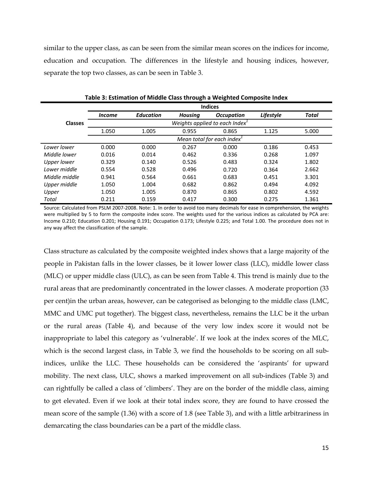similar to the upper class, as can be seen from the similar mean scores on the indices for income, education and occupation. The differences in the lifestyle and housing indices, however, separate the top two classes, as can be seen in Table 3.

|                    |               |                  | ັ              | ັ                                  |           |       |
|--------------------|---------------|------------------|----------------|------------------------------------|-----------|-------|
|                    |               |                  |                | <b>Indices</b>                     |           |       |
|                    | <i>Income</i> | <b>Education</b> | <b>Housing</b> | <b>Occupation</b>                  | Lifestyle | Total |
| <b>Classes</b>     |               |                  |                | Weights applied to each Index $^1$ |           |       |
|                    | 1.050         | 1.005            | 0.955          | 0.865                              | 1.125     | 5.000 |
|                    |               |                  |                | Mean total for each index $^1$     |           |       |
| Lower lower        | 0.000         | 0.000            | 0.267          | 0.000                              | 0.186     | 0.453 |
| Middle lower       | 0.016         | 0.014            | 0.462          | 0.336                              | 0.268     | 1.097 |
| <b>Upper lower</b> | 0.329         | 0.140            | 0.526          | 0.483                              | 0.324     | 1.802 |
| Lower middle       | 0.554         | 0.528            | 0.496          | 0.720                              | 0.364     | 2.662 |
| Middle middle      | 0.941         | 0.564            | 0.661          | 0.683                              | 0.451     | 3.301 |
| Upper middle       | 1.050         | 1.004            | 0.682          | 0.862                              | 0.494     | 4.092 |
| Upper              | 1.050         | 1.005            | 0.870          | 0.865                              | 0.802     | 4.592 |
| Total              | 0.211         | 0.159            | 0.417          | 0.300                              | 0.275     | 1.361 |

**Table 3: Estimation of Middle Class through a Weighted Composite Index**

Source: Calculated from PSLM 2007‐2008. Note: 1. In order to avoid too many decimals for ease in comprehension, the weights were multiplied by 5 to form the composite index score. The weights used for the various indices as calculated by PCA are: Income 0.210; Education 0.201; Housing 0.191; Occupation 0.173; Lifestyle 0.225; and Total 1.00. The procedure does not in any way affect the classification of the sample.

Class structure as calculated by the composite weighted index shows that a large majority of the people in Pakistan falls in the lower classes, be it lower lower class (LLC), middle lower class (MLC) or upper middle class (ULC), as can be seen from Table 4. This trend is mainly due to the rural areas that are predominantly concentrated in the lower classes. A moderate proportion (33 per cent)in the urban areas, however, can be categorised as belonging to the middle class (LMC, MMC and UMC put together). The biggest class, nevertheless, remains the LLC be it the urban or the rural areas (Table 4), and because of the very low index score it would not be inappropriate to label this category as 'vulnerable'. If we look at the index scores of the MLC, which is the second largest class, in Table 3, we find the households to be scoring on all subindices, unlike the LLC. These households can be considered the 'aspirants' for upward mobility. The next class, ULC, shows a marked improvement on all sub-indices (Table 3) and can rightfully be called a class of 'climbers'. They are on the border of the middle class, aiming to get elevated. Even if we look at their total index score, they are found to have crossed the mean score of the sample (1.36) with a score of 1.8 (see Table 3), and with a little arbitrariness in demarcating the class boundaries can be a part of the middle class.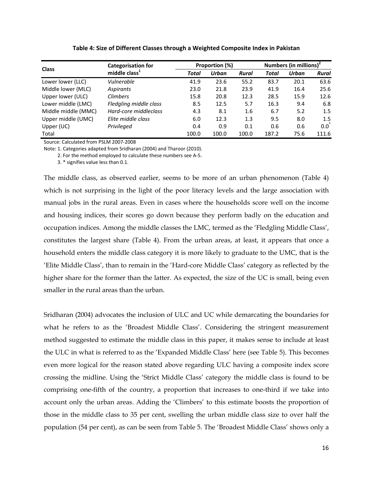| <b>Class</b>        | <b>Categorisation for</b> |       | Proportion (%) |       | Numbers (in millions) <sup>2</sup> |       |             |
|---------------------|---------------------------|-------|----------------|-------|------------------------------------|-------|-------------|
|                     | middle class <sup>1</sup> | Total | Urban          | Rural | Total                              | Urban | Rural       |
| Lower lower (LLC)   | Vulnerable                | 41.9  | 23.6           | 55.2  | 83.7                               | 20.1  | 63.6        |
| Middle lower (MLC)  | Aspirants                 | 23.0  | 21.8           | 23.9  | 41.9                               | 16.4  | 25.6        |
| Upper lower (ULC)   | <b>Climbers</b>           | 15.8  | 20.8           | 12.3  | 28.5                               | 15.9  | 12.6        |
| Lower middle (LMC)  | Fledgling middle class    | 8.5   | 12.5           | 5.7   | 16.3                               | 9.4   | 6.8         |
| Middle middle (MMC) | Hard-core middleclass     | 4.3   | 8.1            | 1.6   | 6.7                                | 5.2   | 1.5         |
| Upper middle (UMC)  | Elite middle class        | 6.0   | 12.3           | 1.3   | 9.5                                | 8.0   | 1.5         |
| Upper (UC)          | Privileged                | 0.4   | 0.9            | 0.1   | 0.6                                | 0.6   | $0.0^\circ$ |
| Total               |                           | 100.0 | 100.0          | 100.0 | 187.2                              | 75.6  | 111.6       |

**Table 4: Size of Different Classes through a Weighted Composite Index in Pakistan**

Source: Calculated from PSLM 2007‐2008

Note: 1. Categories adapted from Sridharan (2004) and Tharoor (2010).

2. For the method employed to calculate these numbers see A‐5.

3. \* signifies value less than 0.1.

The middle class, as observed earlier, seems to be more of an urban phenomenon (Table 4) which is not surprising in the light of the poor literacy levels and the large association with manual jobs in the rural areas. Even in cases where the households score well on the income and housing indices, their scores go down because they perform badly on the education and occupation indices. Among the middle classes the LMC, termed as the 'Fledgling Middle Class', constitutes the largest share (Table 4). From the urban areas, at least, it appears that once a household enters the middle class category it is more likely to graduate to the UMC, that is the 'Elite Middle Class', than to remain in the 'Hard-core Middle Class' category as reflected by the higher share for the former than the latter. As expected, the size of the UC is small, being even smaller in the rural areas than the urban.

Sridharan (2004) advocates the inclusion of ULC and UC while demarcating the boundaries for what he refers to as the 'Broadest Middle Class'. Considering the stringent measurement method suggested to estimate the middle class in this paper, it makes sense to include at least the ULC in what is referred to as the 'Expanded Middle Class' here (see Table 5). This becomes even more logical for the reason stated above regarding ULC having a composite index score crossing the midline. Using the 'Strict Middle Class' category the middle class is found to be comprising one-fifth of the country, a proportion that increases to one-third if we take into account only the urban areas. Adding the 'Climbers' to this estimate boosts the proportion of those in the middle class to 35 per cent, swelling the urban middle class size to over half the population (54 per cent), as can be seen from Table 5. The 'Broadest Middle Class' shows only a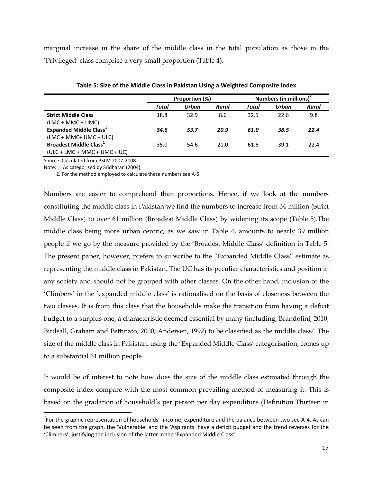marginal increase in the share of the middle class in the total population as those in the 'Privileged' class comprise a very small proportion (Table 4).

|                                           |       | Proportion (%) |       | Numbers (in millions) <sup>2</sup> |       |       |  |
|-------------------------------------------|-------|----------------|-------|------------------------------------|-------|-------|--|
|                                           | Total | Urban          | Rural | Total                              | Urban | Rural |  |
| <b>Strict Middle Class</b>                | 18.8  | 32.9           | 8.6   | 32.5                               | 22.6  | 9.8   |  |
| $(LMC + MMC + UMC)$                       |       |                |       |                                    |       |       |  |
| <b>Expanded Middle Class</b> <sup>1</sup> | 34.6  | 53.7           | 20.9  | 61.0                               | 38.5  | 22.4  |  |
| (LMC + MMC+ UMC + ULC)                    |       |                |       |                                    |       |       |  |
| <b>Broadest Middle Class</b> <sup>1</sup> | 35.0  | 54.6           | 21.0  | 61.6                               | 39.1  | 22.4  |  |
| $(ULC + LMC + MMC + UMC + UC)$            |       |                |       |                                    |       |       |  |

**Table 5: Size of the Middle Class in Pakistan Using a Weighted Composite Index**

Source: Calculated from PSLM 2007‐2008

Note: 1. As categorised by Sridharan (2004).

2. For the method employed to calculate these numbers see A‐5.

Numbers are easier to comprehend than proportions. Hence, if we look at the numbers constituting the middle class in Pakistan we find the numbers to increase from 34 million (Strict Middle Class) to over 61 million (Broadest Middle Class) by widening its scope (Table 5).The middle class being more urban centric, as we saw in Table 4, amounts to nearly 39 million people if we go by the measure provided by the 'Broadest Middle Class' definition in Table 5. The present paper, however, prefers to subscribe to the "Expanded Middle Class" estimate as representing the middle class in Pakistan. The UC has its peculiar characteristics and position in any society and should not be grouped with other classes. On the other hand, inclusion of the 'Climbers' in the 'expanded middle class' is rationalised on the basis of closeness between the two classes. It is from this class that the households make the transition from having a deficit budget to a surplus one, a characteristic deemed essential by many (including, Brandolini, 2010; Birdsall, Graham and Pettinato, 2000; Andersen, 1992) to be classified as the middle class<sup>7</sup>. The size of the middle class in Pakistan, using the 'Expanded Middle Class' categorisation, comes up to a substantial 61 million people.

It would be of interest to note how does the size of the middle class estimated through the composite index compare with the most common prevailing method of measuring it. This is based on the gradation of household's per person per day expenditure (Definition Thirteen in

 $^7$ For the graphic representation of households' income, expenditure and the balance between two see A-4. As can be seen from the graph, the 'Vulnerable' and the 'Aspirants' have a deficit budget and the trend reverses for the 'Climbers', justifying the inclusion of the latter in the 'Expanded Middle Class'.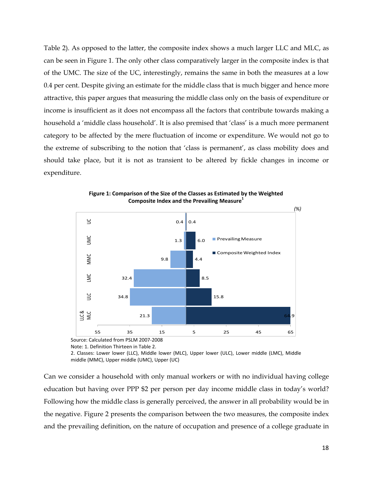Table 2). As opposed to the latter, the composite index shows a much larger LLC and MLC, as can be seen in Figure 1. The only other class comparatively larger in the composite index is that of the UMC. The size of the UC, interestingly, remains the same in both the measures at a low 0.4 per cent. Despite giving an estimate for the middle class that is much bigger and hence more attractive, this paper argues that measuring the middle class only on the basis of expenditure or income is insufficient as it does not encompass all the factors that contribute towards making a household a 'middle class household'. It is also premised that 'class' is a much more permanent category to be affected by the mere fluctuation of income or expenditure. We would not go to the extreme of subscribing to the notion that 'class is permanent', as class mobility does and should take place, but it is not as transient to be altered by fickle changes in income or expenditure.



**Figure 1: Comparison of the Size of the Classes as Estimated by the Weighted Composite Index and the Prevailing Measure1**

Source: Calculated from PSLM 2007‐2008 Note: 1. Definition Thirteen in Table 2.

2. Classes: Lower lower (LLC), Middle lower (MLC), Upper lower (ULC), Lower middle (LMC), Middle middle (MMC), Upper middle (UMC), Upper (UC)

Can we consider a household with only manual workers or with no individual having college education but having over PPP \$2 per person per day income middle class in today's world? Following how the middle class is generally perceived, the answer in all probability would be in the negative. Figure 2 presents the comparison between the two measures, the composite index and the prevailing definition, on the nature of occupation and presence of a college graduate in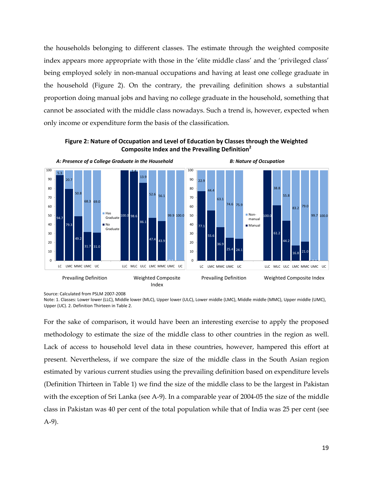the households belonging to different classes. The estimate through the weighted composite index appears more appropriate with those in the 'elite middle class' and the 'privileged class' being employed solely in non-manual occupations and having at least one college graduate in the household (Figure 2). On the contrary, the prevailing definition shows a substantial proportion doing manual jobs and having no college graduate in the household, something that cannot be associated with the middle class nowadays. Such a trend is, however, expected when only income or expenditure form the basis of the classification.

**Figure 2: Nature of Occupation and Level of Education by Classes through the Weighted Composite Index and the Prevailing Definition<sup>2</sup>**



Source: Calculated from PSLM 2007‐2008

Note: 1. Classes: Lower lower (LLC), Middle lower (MLC), Upper lower (ULC), Lower middle (LMC), Middle middle (MMC), Upper middle (UMC), Upper (UC). 2. Definition Thirteen in Table 2.

For the sake of comparison, it would have been an interesting exercise to apply the proposed methodology to estimate the size of the middle class to other countries in the region as well. Lack of access to household level data in these countries, however, hampered this effort at present. Nevertheless, if we compare the size of the middle class in the South Asian region estimated by various current studies using the prevailing definition based on expenditure levels (Definition Thirteen in Table 1) we find the size of the middle class to be the largest in Pakistan with the exception of Sri Lanka (see A-9). In a comparable year of 2004-05 the size of the middle class in Pakistan was 40 per cent of the total population while that of India was 25 per cent (see A-9).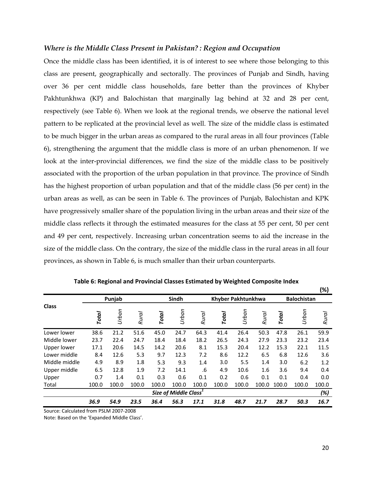#### *Where is the Middle Class Present in Pakistan? : Region and Occupation*

Once the middle class has been identified, it is of interest to see where those belonging to this class are present, geographically and sectorally. The provinces of Punjab and Sindh, having over 36 per cent middle class households, fare better than the provinces of Khyber Pakhtunkhwa (KP) and Balochistan that marginally lag behind at 32 and 28 per cent, respectively (see Table 6). When we look at the regional trends, we observe the national level pattern to be replicated at the provincial level as well. The size of the middle class is estimated to be much bigger in the urban areas as compared to the rural areas in all four provinces (Table 6), strengthening the argument that the middle class is more of an urban phenomenon. If we look at the inter-provincial differences, we find the size of the middle class to be positively associated with the proportion of the urban population in that province. The province of Sindh has the highest proportion of urban population and that of the middle class (56 per cent) in the urban areas as well, as can be seen in Table 6. The provinces of Punjab, Balochistan and KPK have progressively smaller share of the population living in the urban areas and their size of the middle class reflects it through the estimated measures for the class at 55 per cent, 50 per cent and 49 per cent, respectively. Increasing urban concentration seems to aid the increase in the size of the middle class. On the contrary, the size of the middle class in the rural areas in all four provinces, as shown in Table 6, is much smaller than their urban counterparts.

|                    |       | Punjab |              |              | Sindh                             |              |              | <b>Khyber Pakhtunkhwa</b> |              |              | <b>Balochistan</b> | (%)          |
|--------------------|-------|--------|--------------|--------------|-----------------------------------|--------------|--------------|---------------------------|--------------|--------------|--------------------|--------------|
| <b>Class</b>       | Total | Urban  | <b>Rural</b> | <b>Total</b> | Urban                             | <b>Rural</b> | <b>Total</b> | Urban                     | <b>Rural</b> | <b>Total</b> | Urban              | <b>Rural</b> |
| Lower lower        | 38.6  | 21.2   | 51.6         | 45.0         | 24.7                              | 64.3         | 41.4         | 26.4                      | 50.3         | 47.8         | 26.1               | 59.9         |
| Middle lower       | 23.7  | 22.4   | 24.7         | 18.4         | 18.4                              | 18.2         | 26.5         | 24.3                      | 27.9         | 23.3         | 23.2               | 23.4         |
| <b>Upper lower</b> | 17.1  | 20.6   | 14.5         | 14.2         | 20.6                              | 8.1          | 15.3         | 20.4                      | 12.2         | 15.3         | 22.1               | 11.5         |
| Lower middle       | 8.4   | 12.6   | 5.3          | 9.7          | 12.3                              | 7.2          | 8.6          | 12.2                      | 6.5          | 6.8          | 12.6               | 3.6          |
| Middle middle      | 4.9   | 8.9    | 1.8          | 5.3          | 9.3                               | 1.4          | 3.0          | 5.5                       | 1.4          | 3.0          | 6.2                | 1.2          |
| Upper middle       | 6.5   | 12.8   | 1.9          | 7.2          | 14.1                              | .6           | 4.9          | 10.6                      | 1.6          | 3.6          | 9.4                | 0.4          |
| Upper              | 0.7   | 1.4    | 0.1          | 0.3          | 0.6                               | 0.1          | 0.2          | 0.6                       | 0.1          | 0.1          | 0.4                | 0.0          |
| Total              | 100.0 | 100.0  | 100.0        | 100.0        | 100.0                             | 100.0        | 100.0        | 100.0                     | 100.0        | 100.0        | 100.0              | 100.0        |
|                    |       |        |              |              | Size of Middle Class <sup>1</sup> |              |              |                           |              |              |                    | (%)          |
|                    | 36.9  | 54.9   | 23.5         | 36.4         | 56.3                              | 17.1         | 31.8         | 48.7                      | 21.7         | 28.7         | 50.3               | 16.7         |

**Table 6: Regional and Provincial Classes Estimated by Weighted Composite Index**

Source: Calculated from PSLM 2007‐2008

Note: Based on the 'Expanded Middle Class'.

**(%)**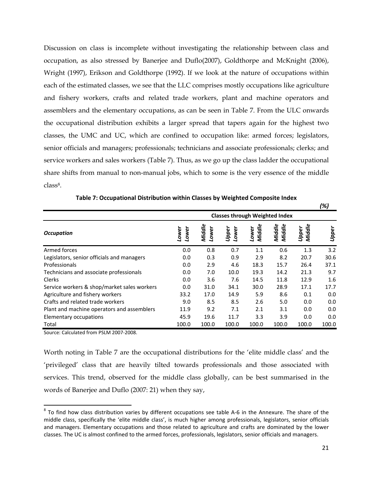Discussion on class is incomplete without investigating the relationship between class and occupation, as also stressed by Banerjee and Duflo(2007), Goldthorpe and McKnight (2006), Wright (1997), Erikson and Goldthorpe (1992). If we look at the nature of occupations within each of the estimated classes, we see that the LLC comprises mostly occupations like agriculture and fishery workers, crafts and related trade workers, plant and machine operators and assemblers and the elementary occupations, as can be seen in Table 7. From the ULC onwards the occupational distribution exhibits a larger spread that tapers again for the highest two classes, the UMC and UC, which are confined to occupation like: armed forces; legislators, senior officials and managers; professionals; technicians and associate professionals; clerks; and service workers and sales workers (Table 7). Thus, as we go up the class ladder the occupational share shifts from manual to non-manual jobs, which to some is the very essence of the middle class8.

|                                             |                |                 |                |                 |                  |                 | (%)   |
|---------------------------------------------|----------------|-----------------|----------------|-----------------|------------------|-----------------|-------|
| <b>Classes through Weighted Index</b>       |                |                 |                |                 |                  |                 |       |
| <b>Occupation</b>                           | Lower<br>Lower | Middle<br>Lower | Lower<br>Upper | Middle<br>Lower | Middle<br>Middle | Middle<br>Upper | Upper |
| Armed forces                                | 0.0            | 0.8             | 0.7            | 1.1             | 0.6              | 1.3             | 3.2   |
| Legislators, senior officials and managers  | 0.0            | 0.3             | 0.9            | 2.9             | 8.2              | 20.7            | 30.6  |
| Professionals                               | 0.0            | 2.9             | 4.6            | 18.3            | 15.7             | 26.4            | 37.1  |
| Technicians and associate professionals     | 0.0            | 7.0             | 10.0           | 19.3            | 14.2             | 21.3            | 9.7   |
| Clerks                                      | 0.0            | 3.6             | 7.6            | 14.5            | 11.8             | 12.9            | 1.6   |
| Service workers & shop/market sales workers | 0.0            | 31.0            | 34.1           | 30.0            | 28.9             | 17.1            | 17.7  |
| Agriculture and fishery workers             | 33.2           | 17.0            | 14.9           | 5.9             | 8.6              | 0.1             | 0.0   |
| Crafts and related trade workers            | 9.0            | 8.5             | 8.5            | 2.6             | 5.0              | 0.0             | 0.0   |
| Plant and machine operators and assemblers  | 11.9           | 9.2             | 7.1            | 2.1             | 3.1              | 0.0             | 0.0   |
| Elementary occupations                      | 45.9           | 19.6            | 11.7           | 3.3             | 3.9              | 0.0             | 0.0   |
| Total                                       | 100.0          | 100.0           | 100.0          | 100.0           | 100.0            | 100.0           | 100.0 |

**Table 7: Occupational Distribution within Classes by Weighted Composite Index** 

Source: Calculated from PSLM 2007‐2008.

Worth noting in Table 7 are the occupational distributions for the 'elite middle class' and the 'privileged' class that are heavily tilted towards professionals and those associated with services. This trend, observed for the middle class globally, can be best summarised in the words of Banerjee and Duflo (2007: 21) when they say,

 $8$  To find how class distribution varies by different occupations see table A-6 in the Annexure. The share of the middle class, specifically the 'elite middle class', is much higher among professionals, legislators, senior officials and managers. Elementary occupations and those related to agriculture and crafts are dominated by the lower classes. The UC is almost confined to the armed forces, professionals, legislators, senior officials and managers.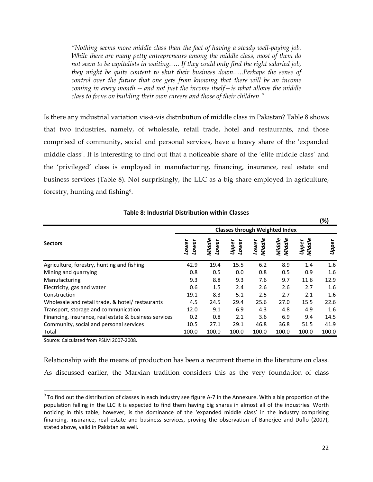*"Nothing seems more middle class than the fact of having a steady well-paying job. While there are many petty entrepreneurs among the middle class, most of them do not seem to be capitalists in waiting.…. If they could only find the right salaried job, they might be quite content to shut their business down.….Perhaps the sense of control over the future that one gets from knowing that there will be an income coming in every month -- and not just the income itself—is what allows the middle class to focus on building their own careers and those of their children."* 

Is there any industrial variation vis-à-vis distribution of middle class in Pakistan? Table 8 shows that two industries, namely, of wholesale, retail trade, hotel and restaurants, and those comprised of community, social and personal services, have a heavy share of the 'expanded middle class'. It is interesting to find out that a noticeable share of the 'elite middle class' and the 'privileged' class is employed in manufacturing, financing, insurance, real estate and business services (Table 8). Not surprisingly, the LLC as a big share employed in agriculture, forestry, hunting and fishing9.

|                                                       | <b>Classes through Weighted Index</b> |                 |                |                 |                  |                 |       |  |
|-------------------------------------------------------|---------------------------------------|-----------------|----------------|-----------------|------------------|-----------------|-------|--|
| <b>Sectors</b>                                        | Lower<br>Lower                        | Middle<br>Lower | Upper<br>Lower | Middle<br>Lower | Middle<br>Middle | Middle<br>Upper | Upper |  |
| Agriculture, forestry, hunting and fishing            | 42.9                                  | 19.4            | 15.5           | 6.2             | 8.9              | 1.4             | 1.6   |  |
| Mining and quarrying                                  | 0.8                                   | 0.5             | 0.0            | 0.8             | 0.5              | 0.9             | 1.6   |  |
| Manufacturing                                         | 9.3                                   | 8.8             | 9.3            | 7.6             | 9.7              | 11.6            | 12.9  |  |
| Electricity, gas and water                            | 0.6                                   | 1.5             | 2.4            | 2.6             | 2.6              | 2.7             | 1.6   |  |
| Construction                                          | 19.1                                  | 8.3             | 5.1            | 2.5             | 2.7              | 2.1             | 1.6   |  |
| Wholesale and retail trade, & hotel/ restaurants      | 4.5                                   | 24.5            | 29.4           | 25.6            | 27.0             | 15.5            | 22.6  |  |
| Transport, storage and communication                  | 12.0                                  | 9.1             | 6.9            | 4.3             | 4.8              | 4.9             | 1.6   |  |
| Financing, insurance, real estate & business services | 0.2                                   | 0.8             | 2.1            | 3.6             | 6.9              | 9.4             | 14.5  |  |
| Community, social and personal services               | 10.5                                  | 27.1            | 29.1           | 46.8            | 36.8             | 51.5            | 41.9  |  |
| Total                                                 | 100.0                                 | 100.0           | 100.0          | 100.0           | 100.0            | 100.0           | 100.0 |  |

**Table 8: Industrial Distribution within Classes**

Source: Calculated from PSLM 2007‐2008.

Relationship with the means of production has been a recurrent theme in the literature on class. As discussed earlier, the Marxian tradition considers this as the very foundation of class

**(%)**

 $9$  To find out the distribution of classes in each industry see figure A-7 in the Annexure. With a big proportion of the population falling in the LLC it is expected to find them having big shares in almost all of the industries. Worth noticing in this table, however, is the dominance of the 'expanded middle class' in the industry comprising financing, insurance, real estate and business services, proving the observation of Banerjee and Duflo (2007), stated above, valid in Pakistan as well.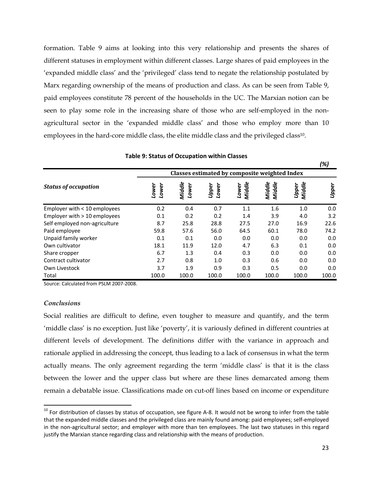formation. Table 9 aims at looking into this very relationship and presents the shares of different statuses in employment within different classes. Large shares of paid employees in the 'expanded middle class' and the 'privileged' class tend to negate the relationship postulated by Marx regarding ownership of the means of production and class. As can be seen from Table 9, paid employees constitute 78 percent of the households in the UC. The Marxian notion can be seen to play some role in the increasing share of those who are self-employed in the nonagricultural sector in the 'expanded middle class' and those who employ more than 10 employees in the hard-core middle class, the elite middle class and the privileged class10.

|                                |                                               |                 |                |                 |                  |                 | l ⁄o] |  |
|--------------------------------|-----------------------------------------------|-----------------|----------------|-----------------|------------------|-----------------|-------|--|
|                                | Classes estimated by composite weighted Index |                 |                |                 |                  |                 |       |  |
| <b>Status of occupation</b>    | Lower<br>Lower                                | Middle<br>Lower | Upper<br>Lower | Middle<br>Lower | Middle<br>Middle | Middle<br>Upper | Upper |  |
| Employer with < 10 employees   | 0.2                                           | 0.4             | 0.7            | 1.1             | 1.6              | 1.0             | 0.0   |  |
| Employer with $> 10$ employees | 0.1                                           | 0.2             | 0.2            | 1.4             | 3.9              | 4.0             | 3.2   |  |
| Self employed non-agriculture  | 8.7                                           | 25.8            | 28.8           | 27.5            | 27.0             | 16.9            | 22.6  |  |
| Paid employee                  | 59.8                                          | 57.6            | 56.0           | 64.5            | 60.1             | 78.0            | 74.2  |  |
| Unpaid family worker           | 0.1                                           | 0.1             | 0.0            | 0.0             | 0.0              | 0.0             | 0.0   |  |
| Own cultivator                 | 18.1                                          | 11.9            | 12.0           | 4.7             | 6.3              | 0.1             | 0.0   |  |
| Share cropper                  | 6.7                                           | 1.3             | 0.4            | 0.3             | 0.0              | 0.0             | 0.0   |  |
| Contract cultivator            | 2.7                                           | 0.8             | 1.0            | 0.3             | 0.6              | 0.0             | 0.0   |  |
| Own Livestock                  | 3.7                                           | 1.9             | 0.9            | 0.3             | 0.5              | 0.0             | 0.0   |  |
| Total                          | 100.0                                         | 100.0           | 100.0          | 100.0           | 100.0            | 100.0           | 100.0 |  |

#### **Table 9: Status of Occupation within Classes**

Source: Calculated from PSLM 2007‐2008.

#### *Conclusions*

Social realities are difficult to define, even tougher to measure and quantify, and the term 'middle class' is no exception. Just like 'poverty', it is variously defined in different countries at different levels of development. The definitions differ with the variance in approach and rationale applied in addressing the concept, thus leading to a lack of consensus in what the term actually means. The only agreement regarding the term 'middle class' is that it is the class between the lower and the upper class but where are these lines demarcated among them remain a debatable issue. Classifications made on cut-off lines based on income or expenditure

*(%)*

 $^{10}$  For distribution of classes by status of occupation, see figure A-8. It would not be wrong to infer from the table that the expanded middle classes and the privileged class are mainly found among: paid employees; self‐employed in the non-agricultural sector; and employer with more than ten employees. The last two statuses in this regard justify the Marxian stance regarding class and relationship with the means of production.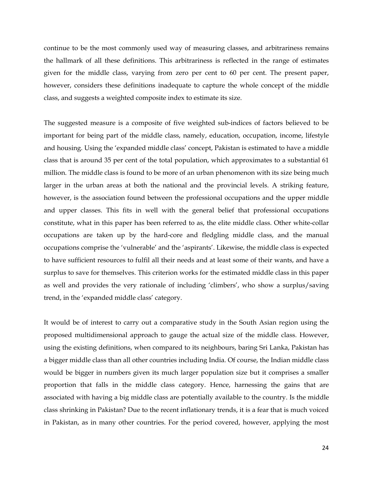continue to be the most commonly used way of measuring classes, and arbitrariness remains the hallmark of all these definitions. This arbitrariness is reflected in the range of estimates given for the middle class, varying from zero per cent to 60 per cent. The present paper, however, considers these definitions inadequate to capture the whole concept of the middle class, and suggests a weighted composite index to estimate its size.

The suggested measure is a composite of five weighted sub-indices of factors believed to be important for being part of the middle class, namely, education, occupation, income, lifestyle and housing. Using the 'expanded middle class' concept, Pakistan is estimated to have a middle class that is around 35 per cent of the total population, which approximates to a substantial 61 million. The middle class is found to be more of an urban phenomenon with its size being much larger in the urban areas at both the national and the provincial levels. A striking feature, however, is the association found between the professional occupations and the upper middle and upper classes. This fits in well with the general belief that professional occupations constitute, what in this paper has been referred to as, the elite middle class. Other white-collar occupations are taken up by the hard-core and fledgling middle class, and the manual occupations comprise the 'vulnerable' and the 'aspirants'. Likewise, the middle class is expected to have sufficient resources to fulfil all their needs and at least some of their wants, and have a surplus to save for themselves. This criterion works for the estimated middle class in this paper as well and provides the very rationale of including 'climbers', who show a surplus/saving trend, in the 'expanded middle class' category.

It would be of interest to carry out a comparative study in the South Asian region using the proposed multidimensional approach to gauge the actual size of the middle class. However, using the existing definitions, when compared to its neighbours, baring Sri Lanka, Pakistan has a bigger middle class than all other countries including India. Of course, the Indian middle class would be bigger in numbers given its much larger population size but it comprises a smaller proportion that falls in the middle class category. Hence, harnessing the gains that are associated with having a big middle class are potentially available to the country. Is the middle class shrinking in Pakistan? Due to the recent inflationary trends, it is a fear that is much voiced in Pakistan, as in many other countries. For the period covered, however, applying the most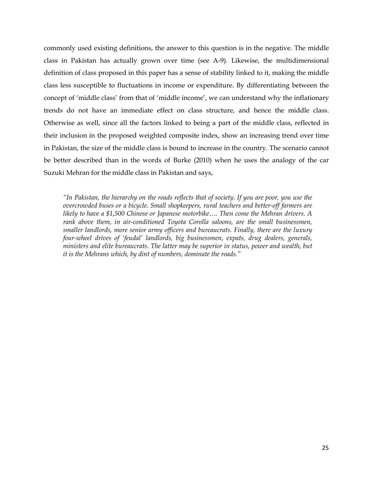commonly used existing definitions, the answer to this question is in the negative. The middle class in Pakistan has actually grown over time (see A-9). Likewise, the multidimensional definition of class proposed in this paper has a sense of stability linked to it, making the middle class less susceptible to fluctuations in income or expenditure. By differentiating between the concept of 'middle class' from that of 'middle income', we can understand why the inflationary trends do not have an immediate effect on class structure, and hence the middle class. Otherwise as well, since all the factors linked to being a part of the middle class, reflected in their inclusion in the proposed weighted composite index, show an increasing trend over time in Pakistan, the size of the middle class is bound to increase in the country. The scenario cannot be better described than in the words of Burke (2010) when he uses the analogy of the car Suzuki Mehran for the middle class in Pakistan and says,

*"In Pakistan, the hierarchy on the roads reflects that of society. If you are poor, you use the overcrowded buses or a bicycle. Small shopkeepers, rural teachers and better-off farmers are likely to have a \$1,500 Chinese or Japanese motorbike…. Then come the Mehran drivers. A rank above them, in air-conditioned Toyota Corolla saloons, are the small businessmen, smaller landlords, more senior army officers and bureaucrats. Finally, there are the luxury four-wheel drives of 'feudal' landlords, big businessmen, expats, drug dealers, generals, ministers and elite bureaucrats. The latter may be superior in status, power and wealth, but it is the Mehrans which, by dint of numbers, dominate the roads."*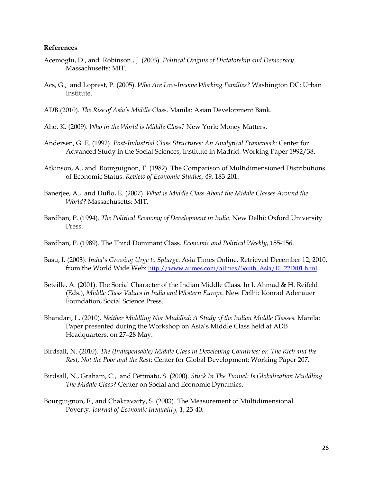#### **References**

- Acemoglu, D., and Robinson., J. (2003). *Political Origins of Dictatorship and Democracy*. Massachusetts: MIT.
- Acs, G., and Loprest, P. (2005). *Who Are Low-Income Working Families?* Washington DC: Urban Institute.
- ADB.(2010). *The Rise of Asia's Middle Class*. Manila: Asian Development Bank.
- Aho, K. (2009). *Who in the World is Middle Class?* New York: Money Matters.
- Andersen, G. E. (1992). *Post-Industrial Class Structures: An Analytical Framework*: Center for Advanced Study in the Social Sciences, Institute in Madrid: Working Paper 1992/38.
- Atkinson, A., and Bourguignon, F. (1982). The Comparison of Multidimensioned Distributions of Economic Status. *Review of Economic Studies, 49*, 183-201.
- Banerjee, A., and Duflo, E. (2007). *What is Middle Class About the Middle Classes Around the World?* Massachusetts: MIT.
- Bardhan, P. (1994). *The Political Economy of Development in India*. New Delhi: Oxford University Press.
- Bardhan, P. (1989). The Third Dominant Class. *Economic and Political Weekly*, 155-156.
- Basu, I. (2003). *India's Growing Urge to Splurge*. Asia Times Online. Retrieved December 12, 2010, from the World Wide Web: http://www.atimes.com/atimes/South\_Asia/EH22Df01.html
- Beteille, A. (2001). The Social Character of the Indian Middle Class. In I. Ahmad & H. Reifeld (Eds.), *Middle Class Values in India and Western Europe*. New Delhi: Konrad Adenauer Foundation, Social Science Press.
- Bhandari, L. (2010). *Neither Middling Nor Muddled: A Study of the Indian Middle Classes.* Manila: Paper presented during the Workshop on Asia's Middle Class held at ADB Headquarters, on 27–28 May.
- Birdsall, N. (2010). *The (Indispensable) Middle Class in Developing Countries; or, The Rich and the Rest, Not the Poor and the Rest*: Center for Global Development: Working Paper 207.
- Birdsall, N., Graham, C., and Pettinato, S. (2000). *Stuck In The Tunnel: Is Globalization Muddling The Middle Class?* Center on Social and Economic Dynamics.
- Bourguignon, F., and Chakravarty, S. (2003). The Measurement of Multidimensional Poverty. *Journal of Economic Inequality, 1*, 25-40.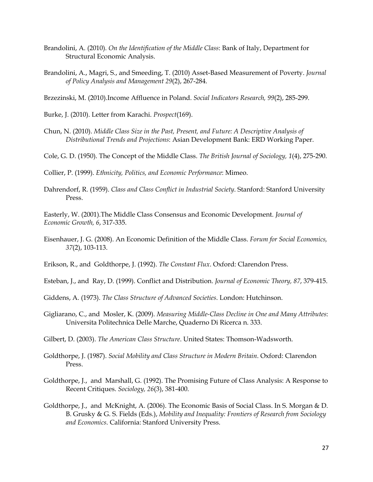- Brandolini, A. (2010). *On the Identification of the Middle Class*: Bank of Italy, Department for Structural Economic Analysis.
- Brandolini, A., Magri, S., and Smeeding, T. (2010) Asset-Based Measurement of Poverty. *Journal of Policy Analysis and Management 29*(2), 267-284.

Brzezinski, M. (2010).Income Affluence in Poland. *Social Indicators Research, 99*(2), 285-299.

Burke, J. (2010). Letter from Karachi. *Prospect*(169).

- Chun, N. (2010). *Middle Class Size in the Past, Present, and Future: A Descriptive Analysis of Distributional Trends and Projections*: Asian Development Bank: ERD Working Paper.
- Cole, G. D. (1950). The Concept of the Middle Class. *The British Journal of Sociology, 1*(4), 275-290.

Collier, P. (1999). *Ethnicity, Politics, and Economic Performance*: Mimeo.

Dahrendorf, R. (1959). *Class and Class Conflict in Industrial Society*. Stanford: Stanford University Press.

Easterly, W. (2001).The Middle Class Consensus and Economic Development. *Journal of Economic Growth, 6*, 317-335.

Eisenhauer, J. G. (2008). An Economic Definition of the Middle Class. *Forum for Social Economics, 37*(2), 103-113.

Erikson, R., and Goldthorpe, J. (1992). *The Constant Flux*. Oxford: Clarendon Press.

- Esteban, J., and Ray, D. (1999). Conflict and Distribution. *Journal of Economic Theory, 87*, 379-415.
- Giddens, A. (1973). *The Class Structure of Advanced Societies*. London: Hutchinson.
- Gigliarano, C., and Mosler, K. (2009). *Measuring Middle-Class Decline in One and Many Attributes*: Universita Politechnica Delle Marche, Quaderno Di Ricerca n. 333.

Gilbert, D. (2003). *The American Class Structure*. United States: Thomson-Wadsworth.

- Goldthorpe, J. (1987). *Social Mobility and Class Structure in Modern Britain*. Oxford: Clarendon Press.
- Goldthorpe, J., and Marshall, G. (1992). The Promising Future of Class Analysis: A Response to Recent Critiques. *Sociology, 26*(3), 381-400.
- Goldthorpe, J., and McKnight, A. (2006). The Economic Basis of Social Class. In S. Morgan & D. B. Grusky & G. S. Fields (Eds.), *Mobility and Inequality: Frontiers of Research from Sociology and Economics*. California: Stanford University Press.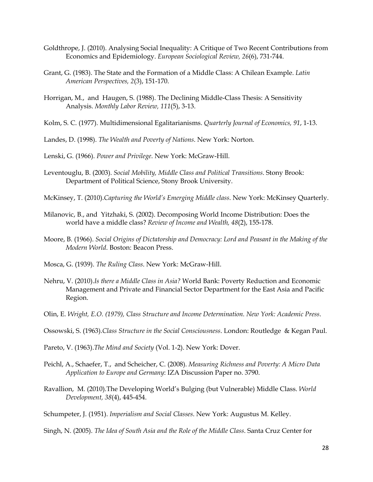- Goldthrope, J. (2010). Analysing Social Inequality: A Critique of Two Recent Contributions from Economics and Epidemiology. *European Sociological Review, 26*(6), 731-744.
- Grant, G. (1983). The State and the Formation of a Middle Class: A Chilean Example. *Latin American Perspectives, 2*(3), 151-170.
- Horrigan, M., and Haugen, S. (1988). The Declining Middle-Class Thesis: A Sensitivity Analysis. *Monthly Labor Review, 111*(5), 3-13.
- Kolm, S. C. (1977). Multidimensional Egalitarianisms. *Quarterly Journal of Economics, 91*, 1-13.
- Landes, D. (1998). *The Wealth and Poverty of Nations*. New York: Norton.

Lenski, G. (1966). *Power and Privilege*. New York: McGraw-Hill.

- Leventouglu, B. (2003). *Social Mobility, Middle Class and Political Transitions*. Stony Brook: Department of Political Science, Stony Brook University.
- McKinsey, T. (2010).*Capturing the World's Emerging Middle class*. New York: McKinsey Quarterly.
- Milanovic, B., and Yitzhaki, S. (2002). Decomposing World Income Distribution: Does the world have a middle class? *Review of Income and Wealth, 48*(2), 155-178.
- Moore, B. (1966). *Social Origins of Dictatorship and Democracy: Lord and Peasant in the Making of the Modern World*. Boston: Beacon Press.
- Mosca, G. (1939). *The Ruling Class*. New York: McGraw-Hill.
- Nehru, V. (2010).*Is there a Middle Class in Asia?* World Bank: Poverty Reduction and Economic Management and Private and Financial Sector Department for the East Asia and Pacific Region.
- Olin, E. *Wright, E.O. (1979), Class Structure and Income Determination. New York: Academic Press*.
- Ossowski, S. (1963).*Class Structure in the Social Consciousness*. London: Routledge & Kegan Paul.
- Pareto, V. (1963).*The Mind and Society* (Vol. 1-2). New York: Dover.
- Peichl, A., Schaefer, T., and Scheicher, C. (2008). *Measuring Richness and Poverty: A Micro Data Application to Europe and Germany*: IZA Discussion Paper no. 3790.
- Ravallion, M. (2010).The Developing World's Bulging (but Vulnerable) Middle Class. *World Development, 38*(4), 445-454.
- Schumpeter, J. (1951). *Imperialism and Social Classes*. New York: Augustus M. Kelley.
- Singh, N. (2005). *The Idea of South Asia and the Role of the Middle Class*. Santa Cruz Center for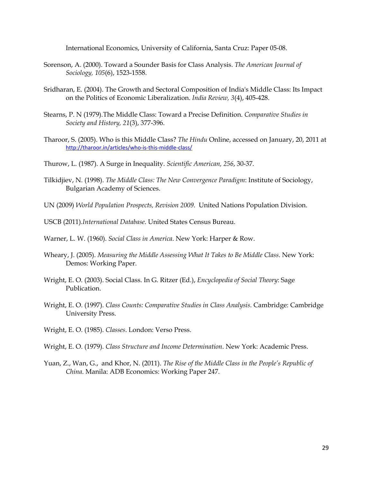International Economics, University of California, Santa Cruz: Paper 05-08.

- Sorenson, A. (2000). Toward a Sounder Basis for Class Analysis. *The American Journal of Sociology, 105*(6), 1523-1558.
- Sridharan, E. (2004). The Growth and Sectoral Composition of India's Middle Class: Its Impact on the Politics of Economic Liberalization. *India Review, 3*(4), 405-428.
- Stearns, P. N (1979).The Middle Class: Toward a Precise Definition. *Comparative Studies in Society and History, 21*(3), 377-396.
- Tharoor, S. (2005). Who is this Middle Class? *The Hindu* Online, accessed on January, 20, 2011 at http://tharoor.in/articles/who‐is‐this‐middle‐class/
- Thurow, L. (1987). A Surge in Inequality. *Scientific American, 256*, 30-37.
- Tilkidjiev, N. (1998). *The Middle Class: The New Convergence Paradigm*: Institute of Sociology, Bulgarian Academy of Sciences.
- UN (2009) *World Population Prospects, Revision 2009*. United Nations Population Division.
- USCB (2011).*International Database*. United States Census Bureau.
- Warner, L. W. (1960). *Social Class in America*. New York: Harper & Row.
- Wheary, J. (2005). *Measuring the Middle Assessing What It Takes to Be Middle Class*. New York: Demos: Working Paper.
- Wright, E. O. (2003). Social Class. In G. Ritzer (Ed.), *Encyclopedia of Social Theory*: Sage Publication.
- Wright, E. O. (1997). *Class Counts: Comparative Studies in Class Analysis*. Cambridge: Cambridge University Press.
- Wright, E. O. (1985). *Classes*. London: Verso Press.
- Wright, E. O. (1979). *Class Structure and Income Determination*. New York: Academic Press.
- Yuan, Z., Wan, G., and Khor, N. (2011). *The Rise of the Middle Class in the People's Republic of China*. Manila: ADB Economics: Working Paper 247.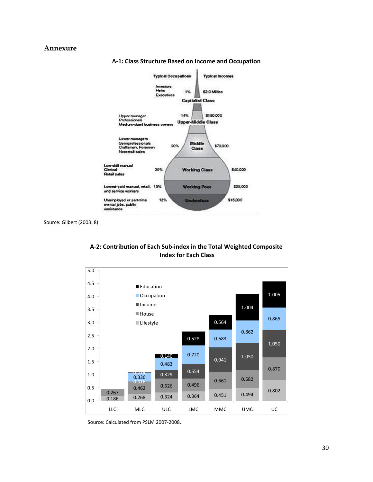#### **Annexure**



**A‐1: Class Structure Based on Income and Occupation**

Source: Gilbert (2003: 8)





Source: Calculated from PSLM 2007‐2008.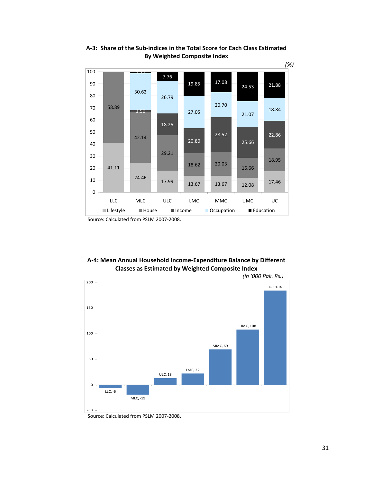

**A‐3: Share of the Sub‐indices in the Total Score for Each Class Estimated By Weighted Composite Index**

**A‐4: Mean Annual Household Income‐Expenditure Balance by Different Classes as Estimated by Weighted Composite Index**



Source: Calculated from PSLM 2007‐2008.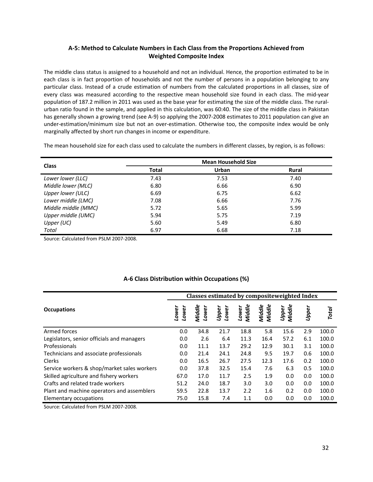#### **A‐5: Method to Calculate Numbers in Each Class from the Proportions Achieved from Weighted Composite Index**

The middle class status is assigned to a household and not an individual. Hence, the proportion estimated to be in each class is in fact proportion of households and not the number of persons in a population belonging to any particular class. Instead of a crude estimation of numbers from the calculated proportions in all classes, size of every class was measured according to the respective mean household size found in each class. The mid‐year population of 187.2 million in 2011 was used as the base year for estimating the size of the middle class. The ruralurban ratio found in the sample, and applied in this calculation, was 60:40. The size of the middle class in Pakistan has generally shown a growing trend (see A-9) so applying the 2007-2008 estimates to 2011 population can give an under‐estimation/minimum size but not an over‐estimation. Otherwise too, the composite index would be only marginally affected by short run changes in income or expenditure.

The mean household size for each class used to calculate the numbers in different classes, by region, is as follows:

|                     | <b>Mean Household Size</b> |       |              |  |  |  |  |
|---------------------|----------------------------|-------|--------------|--|--|--|--|
| <b>Class</b>        | Total                      | Urban | <b>Rural</b> |  |  |  |  |
| Lower lower (LLC)   | 7.43                       | 7.53  | 7.40         |  |  |  |  |
| Middle lower (MLC)  | 6.80                       | 6.66  | 6.90         |  |  |  |  |
| Upper lower (ULC)   | 6.69                       | 6.75  | 6.62         |  |  |  |  |
| Lower middle (LMC)  | 7.08                       | 6.66  | 7.76         |  |  |  |  |
| Middle middle (MMC) | 5.72                       | 5.65  | 5.99         |  |  |  |  |
| Upper middle (UMC)  | 5.94                       | 5.75  | 7.19         |  |  |  |  |
| Upper (UC)          | 5.60                       | 5.49  | 6.80         |  |  |  |  |
| <b>Total</b>        | 6.97                       | 6.68  | 7.18         |  |  |  |  |

Source: Calculated from PSLM 2007‐2008.

|                                             | Classes estimated by composite weighted Index |                 |                |                 |                  |                        |            |              |  |
|---------------------------------------------|-----------------------------------------------|-----------------|----------------|-----------------|------------------|------------------------|------------|--------------|--|
| <b>Occupations</b>                          | Lower<br>Lower                                | Middle<br>Lower | Upper<br>Lower | Lower<br>Middle | Middle<br>Middle | <b>Upper</b><br>Middle | ∼<br>Uppel | <b>Total</b> |  |
| Armed forces                                | 0.0                                           | 34.8            | 21.7           | 18.8            | 5.8              | 15.6                   | 2.9        | 100.0        |  |
| Legislators, senior officials and managers  | 0.0                                           | 2.6             | 6.4            | 11.3            | 16.4             | 57.2                   | 6.1        | 100.0        |  |
| Professionals                               | 0.0                                           | 11.1            | 13.7           | 29.2            | 12.9             | 30.1                   | 3.1        | 100.0        |  |
| Technicians and associate professionals     | 0.0                                           | 21.4            | 24.1           | 24.8            | 9.5              | 19.7                   | 0.6        | 100.0        |  |
| Clerks                                      | 0.0                                           | 16.5            | 26.7           | 27.5            | 12.3             | 17.6                   | 0.2        | 100.0        |  |
| Service workers & shop/market sales workers | 0.0                                           | 37.8            | 32.5           | 15.4            | 7.6              | 6.3                    | 0.5        | 100.0        |  |
| Skilled agriculture and fishery workers     | 67.0                                          | 17.0            | 11.7           | 2.5             | 1.9              | 0.0                    | 0.0        | 100.0        |  |
| Crafts and related trade workers            | 51.2                                          | 24.0            | 18.7           | 3.0             | 3.0              | 0.0                    | 0.0        | 100.0        |  |
| Plant and machine operators and assemblers  | 59.5                                          | 22.8            | 13.7           | 2.2             | 1.6              | 0.2                    | 0.0        | 100.0        |  |
| Elementary occupations                      | 75.0                                          | 15.8            | 7.4            | 1.1             | 0.0              | 0.0                    | 0.0        | 100.0        |  |

#### **A‐6 Class Distribution within Occupations (%)**

Source: Calculated from PSLM 2007‐2008.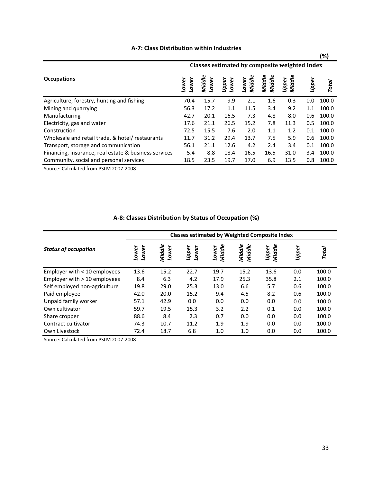|                                                       |                                               |                |                |                 |                  |                 |       | (%)          |
|-------------------------------------------------------|-----------------------------------------------|----------------|----------------|-----------------|------------------|-----------------|-------|--------------|
|                                                       | Classes estimated by composite weighted Index |                |                |                 |                  |                 |       |              |
| <b>Occupations</b>                                    | Lower<br>ower                                 | Middle<br>ower | Upper<br>Lower | Lower<br>Middle | Middle<br>Middle | Middle<br>Upper | Uppel | <b>Total</b> |
| Agriculture, forestry, hunting and fishing            | 70.4                                          | 15.7           | 9.9            | 2.1             | 1.6              | 0.3             | 0.0   | 100.0        |
| Mining and quarrying                                  | 56.3                                          | 17.2           | 1.1            | 11.5            | 3.4              | 9.2             | 1.1   | 100.0        |
| Manufacturing                                         | 42.7                                          | 20.1           | 16.5           | 7.3             | 4.8              | 8.0             | 0.6   | 100.0        |
| Electricity, gas and water                            | 17.6                                          | 21.1           | 26.5           | 15.2            | 7.8              | 11.3            | 0.5   | 100.0        |
| Construction                                          | 72.5                                          | 15.5           | 7.6            | 2.0             | 1.1              | 1.2             | 0.1   | 100.0        |
| Wholesale and retail trade, & hotel/ restaurants      | 11.7                                          | 31.2           | 29.4           | 13.7            | 7.5              | 5.9             | 0.6   | 100.0        |
| Transport, storage and communication                  | 56.1                                          | 21.1           | 12.6           | 4.2             | 2.4              | 3.4             | 0.1   | 100.0        |
| Financing, insurance, real estate & business services | 5.4                                           | 8.8            | 18.4           | 16.5            | 16.5             | 31.0            | 3.4   | 100.0        |
| Community, social and personal services               | 18.5                                          | 23.5           | 19.7           | 17.0            | 6.9              | 13.5            | 0.8   | 100.0        |

### **A‐7: Class Distribution within Industries**

Source: Calculated from PSLM 2007‐2008.

|                                | <b>Classes estimated by Weighted Composite Index</b> |                 |                |                 |                  |                 |       |       |  |
|--------------------------------|------------------------------------------------------|-----------------|----------------|-----------------|------------------|-----------------|-------|-------|--|
| <b>Status of occupation</b>    | Lower<br>Lower                                       | Middle<br>Lower | Lower<br>Upper | Middle<br>Lower | Middle<br>Middle | Middle<br>Upper | Upper | Total |  |
| Employer with $<$ 10 employees | 13.6                                                 | 15.2            | 22.7           | 19.7            | 15.2             | 13.6            | 0.0   | 100.0 |  |
| Employer with $> 10$ employees | 8.4                                                  | 6.3             | 4.2            | 17.9            | 25.3             | 35.8            | 2.1   | 100.0 |  |
| Self employed non-agriculture  | 19.8                                                 | 29.0            | 25.3           | 13.0            | 6.6              | 5.7             | 0.6   | 100.0 |  |
| Paid employee                  | 42.0                                                 | 20.0            | 15.2           | 9.4             | 4.5              | 8.2             | 0.6   | 100.0 |  |
| Unpaid family worker           | 57.1                                                 | 42.9            | 0.0            | 0.0             | 0.0              | 0.0             | 0.0   | 100.0 |  |
| Own cultivator                 | 59.7                                                 | 19.5            | 15.3           | 3.2             | 2.2              | 0.1             | 0.0   | 100.0 |  |
| Share cropper                  | 88.6                                                 | 8.4             | 2.3            | 0.7             | 0.0              | 0.0             | 0.0   | 100.0 |  |
| Contract cultivator            | 74.3                                                 | 10.7            | 11.2           | 1.9             | 1.9              | 0.0             | 0.0   | 100.0 |  |
| Own Livestock                  | 72.4                                                 | 18.7            | 6.8            | 1.0             | 1.0              | 0.0             | 0.0   | 100.0 |  |

# **A‐8: Classes Distribution by Status of Occupation (%)**

Source: Calculated from PSLM 2007‐2008